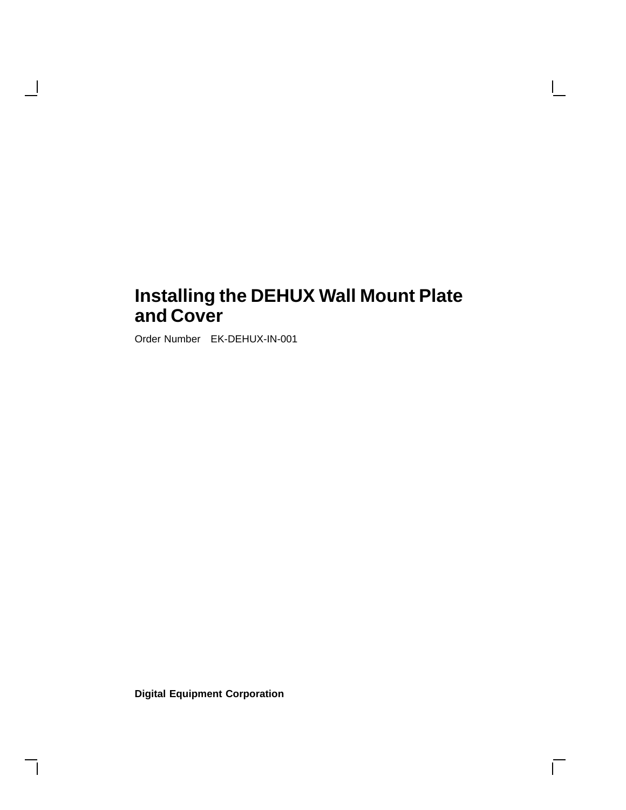$\overline{\Gamma}$ 

Order Number EK-DEHUX-IN-001

H

**Digital Equipment Corporation**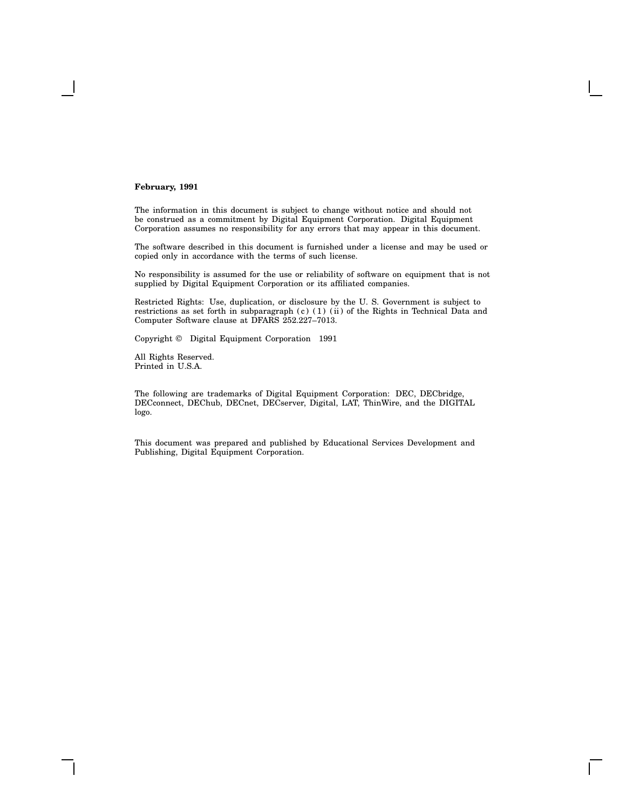#### **February, 1991**

The information in this document is subject to change without notice and should not be construed as a commitment by Digital Equipment Corporation. Digital Equipment Corporation assumes no responsibility for any errors that may appear in this document.

The software described in this document is furnished under a license and may be used or copied only in accordance with the terms of such license.

No responsibility is assumed for the use or reliability of software on equipment that is not supplied by Digital Equipment Corporation or its affiliated companies.

Restricted Rights: Use, duplication, or disclosure by the U. S. Government is subject to restrictions as set forth in subparagraph (c) (1) (ii) of the Rights in Technical Data and Computer Software clause at DFARS 252.227–7013.

Copyright © Digital Equipment Corporation 1991

All Rights Reserved. Printed in U.S.A.

The following are trademarks of Digital Equipment Corporation: DEC, DECbridge, DECconnect, DEChub, DECnet, DECserver, Digital, LAT, ThinWire, and the DIGITAL logo.

This document was prepared and published by Educational Services Development and Publishing, Digital Equipment Corporation.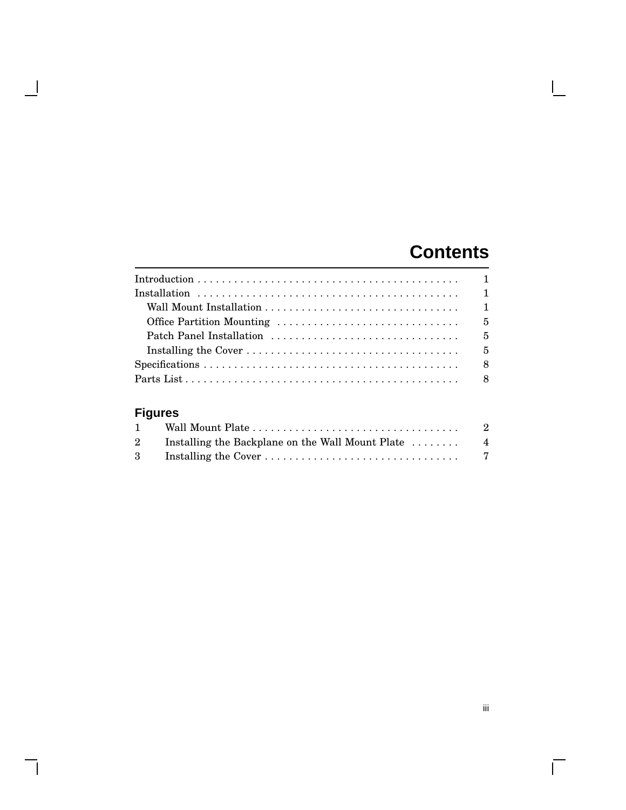# **Contents**

 $\mathbf{L}$ 

| $Specifications \ldots \ldots \ldots \ldots \ldots \ldots \ldots \ldots \ldots \ldots \ldots \ldots \ldots$ |  |  |  |  |  |  |  |  |  |  |  |  |
|-------------------------------------------------------------------------------------------------------------|--|--|--|--|--|--|--|--|--|--|--|--|
|                                                                                                             |  |  |  |  |  |  |  |  |  |  |  |  |

## **Figures**

 $\blacksquare$ 

 $\mathsf{l}$ 

|  | - 2 |
|--|-----|
|  |     |
|  |     |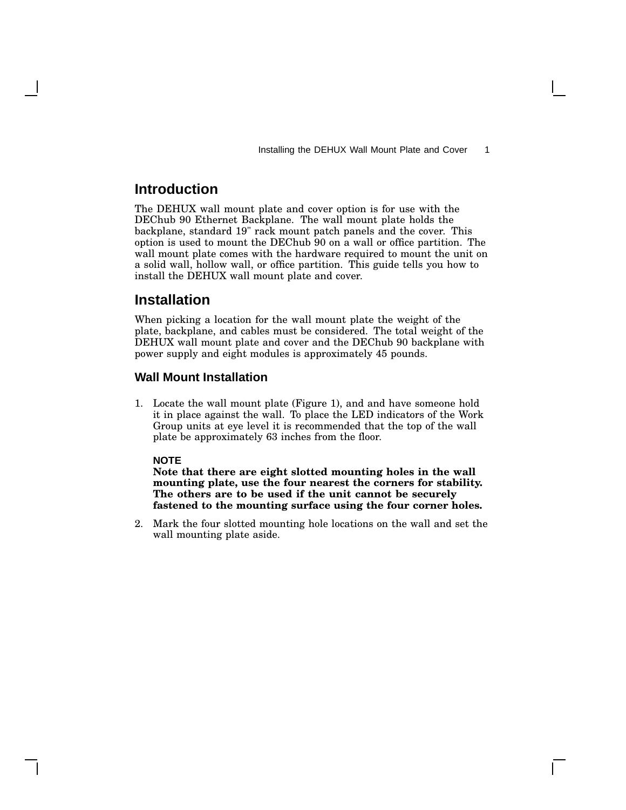## **Introduction**

The DEHUX wall mount plate and cover option is for use with the DEChub 90 Ethernet Backplane. The wall mount plate holds the backplane, standard 19" rack mount patch panels and the cover. This option is used to mount the DEChub 90 on a wall or office partition. The wall mount plate comes with the hardware required to mount the unit on a solid wall, hollow wall, or office partition. This guide tells you how to install the DEHUX wall mount plate and cover.

### **Installation**

When picking a location for the wall mount plate the weight of the plate, backplane, and cables must be considered. The total weight of the DEHUX wall mount plate and cover and the DEChub 90 backplane with power supply and eight modules is approximately 45 pounds.

#### **Wall Mount Installation**

1. Locate the wall mount plate (Figure 1), and and have someone hold it in place against the wall. To place the LED indicators of the Work Group units at eye level it is recommended that the top of the wall plate be approximately 63 inches from the floor.

#### **NOTE**

**Note that there are eight slotted mounting holes in the wall mounting plate, use the four nearest the corners for stability. The others are to be used if the unit cannot be securely fastened to the mounting surface using the four corner holes.**

2. Mark the four slotted mounting hole locations on the wall and set the wall mounting plate aside.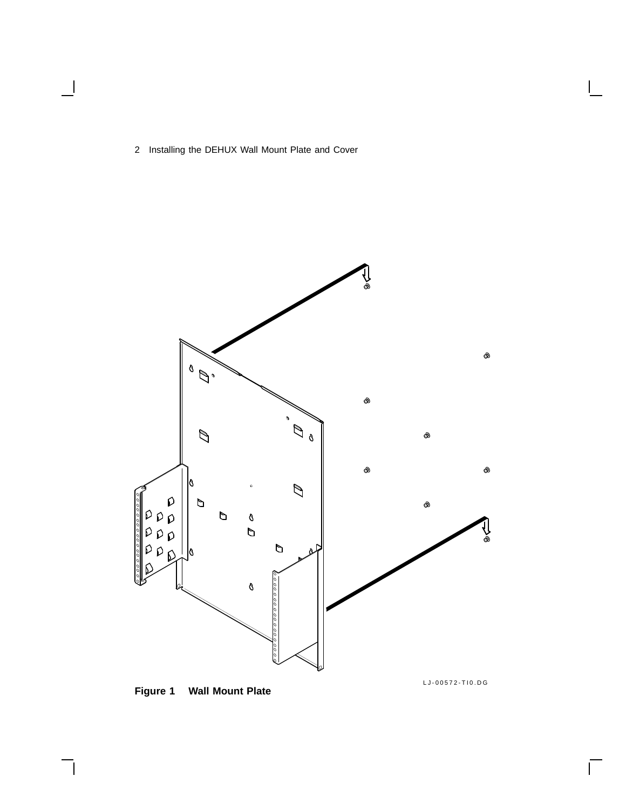$\overline{\phantom{0}}$ 



## **Figure 1 Wall Mount Plate**

LJ-00572-TI0.DG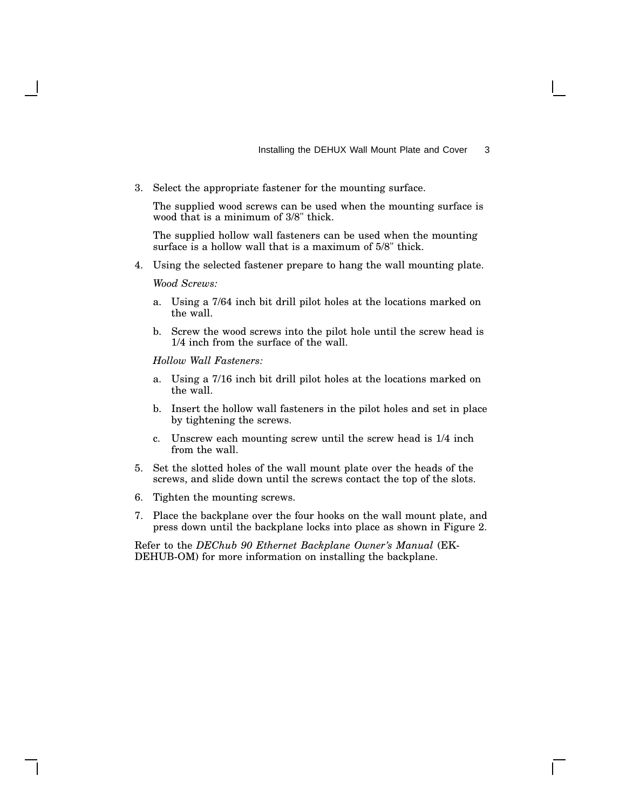3. Select the appropriate fastener for the mounting surface.

The supplied wood screws can be used when the mounting surface is wood that is a minimum of 3/8" thick.

The supplied hollow wall fasteners can be used when the mounting surface is a hollow wall that is a maximum of 5/8" thick.

4. Using the selected fastener prepare to hang the wall mounting plate.

*Wood Screws:*

- a. Using a 7/64 inch bit drill pilot holes at the locations marked on the wall.
- b. Screw the wood screws into the pilot hole until the screw head is 1/4 inch from the surface of the wall.

*Hollow Wall Fasteners:*

- a. Using a 7/16 inch bit drill pilot holes at the locations marked on the wall.
- b. Insert the hollow wall fasteners in the pilot holes and set in place by tightening the screws.
- c. Unscrew each mounting screw until the screw head is 1/4 inch from the wall.
- 5. Set the slotted holes of the wall mount plate over the heads of the screws, and slide down until the screws contact the top of the slots.
- 6. Tighten the mounting screws.
- 7. Place the backplane over the four hooks on the wall mount plate, and press down until the backplane locks into place as shown in Figure 2.

Refer to the *DEChub 90 Ethernet Backplane Owner's Manual* (EK-DEHUB-OM) for more information on installing the backplane.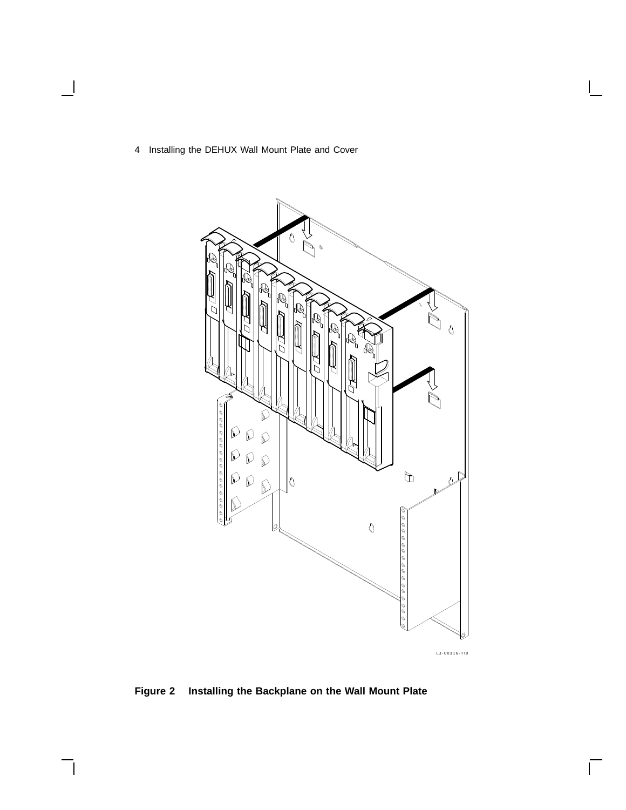$\overline{\phantom{a}}$ 

 $\overline{\phantom{a}}$ 



**Figure 2 Installing the Backplane on the Wall Mount Plate**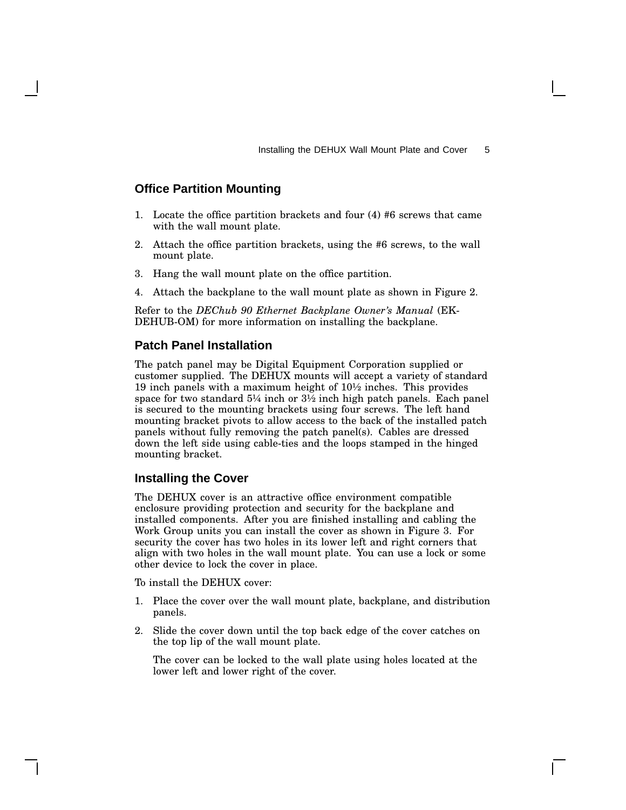#### **Office Partition Mounting**

- 1. Locate the office partition brackets and four (4) #6 screws that came with the wall mount plate.
- 2. Attach the office partition brackets, using the #6 screws, to the wall mount plate.
- 3. Hang the wall mount plate on the office partition.
- 4. Attach the backplane to the wall mount plate as shown in Figure 2.

Refer to the *DEChub 90 Ethernet Backplane Owner's Manual* (EK-DEHUB-OM) for more information on installing the backplane.

#### **Patch Panel Installation**

The patch panel may be Digital Equipment Corporation supplied or customer supplied. The DEHUX mounts will accept a variety of standard 19 inch panels with a maximum height of 10½ inches. This provides space for two standard 5¼ inch or 3½ inch high patch panels. Each panel is secured to the mounting brackets using four screws. The left hand mounting bracket pivots to allow access to the back of the installed patch panels without fully removing the patch panel(s). Cables are dressed down the left side using cable-ties and the loops stamped in the hinged mounting bracket.

#### **Installing the Cover**

The DEHUX cover is an attractive office environment compatible enclosure providing protection and security for the backplane and installed components. After you are finished installing and cabling the Work Group units you can install the cover as shown in Figure 3. For security the cover has two holes in its lower left and right corners that align with two holes in the wall mount plate. You can use a lock or some other device to lock the cover in place.

To install the DEHUX cover:

- 1. Place the cover over the wall mount plate, backplane, and distribution panels.
- 2. Slide the cover down until the top back edge of the cover catches on the top lip of the wall mount plate.

The cover can be locked to the wall plate using holes located at the lower left and lower right of the cover.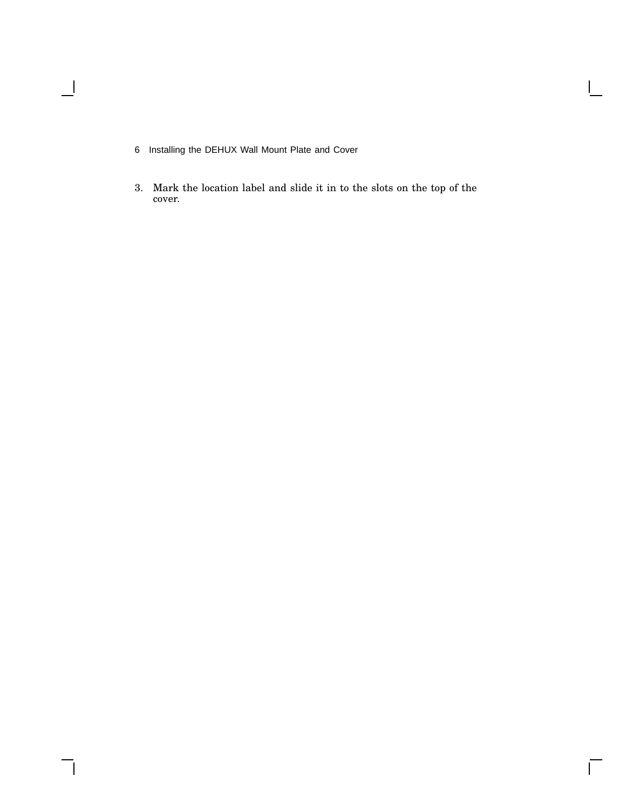$\blacksquare$ 

3. Mark the location label and slide it in to the slots on the top of the cover.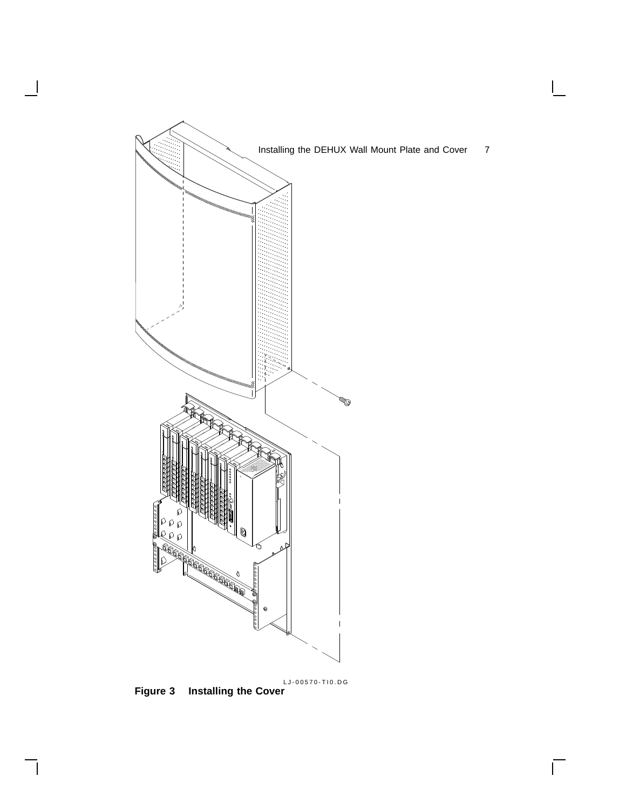

LJ-00570-TI0.DG

 $\bar{\Gamma}$ 

**Figure 3 Installing the Cover**

 $\overline{\phantom{a}}$ 

 $\mathsf{l}$